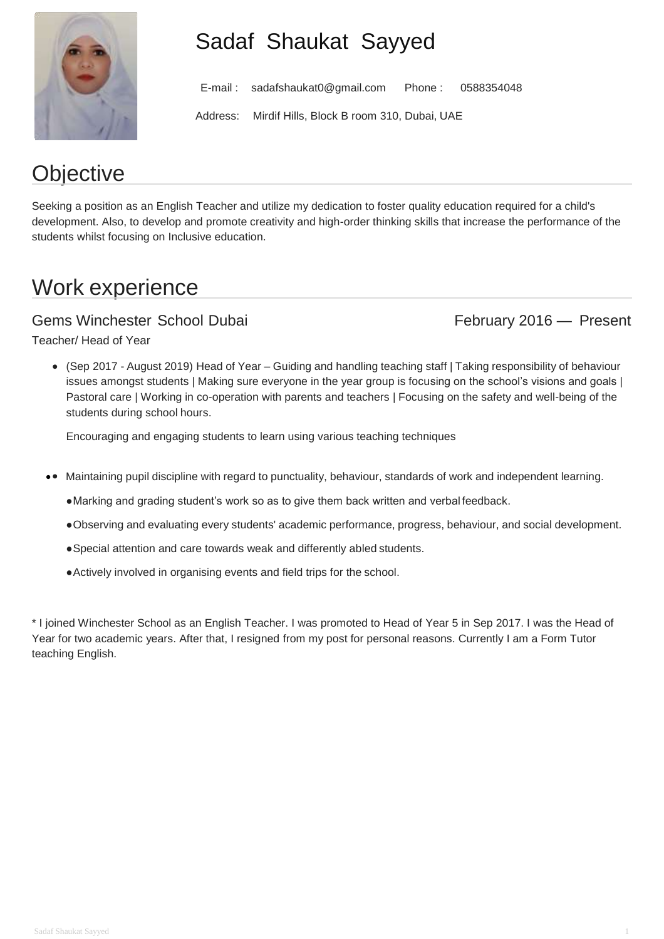

# Sadaf Shaukat Sayyed

E-mail : [sadafshaukat0@gmail.com](mailto:sadafshaukat0@gmail.com) Phone : 0588354048

Address: Mirdif Hills, Block B room 310, Dubai, UAE

# **Objective**

Seeking a position as an English Teacher and utilize my dedication to foster quality education required for a child's development. Also, to develop and promote creativity and high-order thinking skills that increase the performance of the students whilst focusing on Inclusive education.

# Work experience

### Gems Winchester School Dubai February 2016 — Present

Teacher/ Head of Year

(Sep 2017 - August 2019) Head of Year – Guiding and handling teaching staff | Taking responsibility of behaviour issues amongst students | Making sure everyone in the year group is focusing on the school's visions and goals | Pastoral care | Working in co-operation with parents and teachers | Focusing on the safety and well-being of the students during school hours.

Encouraging and engaging students to learn using various teaching techniques

- Maintaining pupil discipline with regard to punctuality, behaviour, standards of work and independent learning.
	- ●Marking and grading student's work so as to give them back written and verbal feedback.
	- ●Observing and evaluating every students' academic performance, progress, behaviour, and social development.
	- ●Special attention and care towards weak and differently abled students.
	- ●Actively involved in organising events and field trips for the school.

\* I joined Winchester School as an English Teacher. I was promoted to Head of Year 5 in Sep 2017. I was the Head of Year for two academic years. After that, I resigned from my post for personal reasons. Currently I am a Form Tutor teaching English.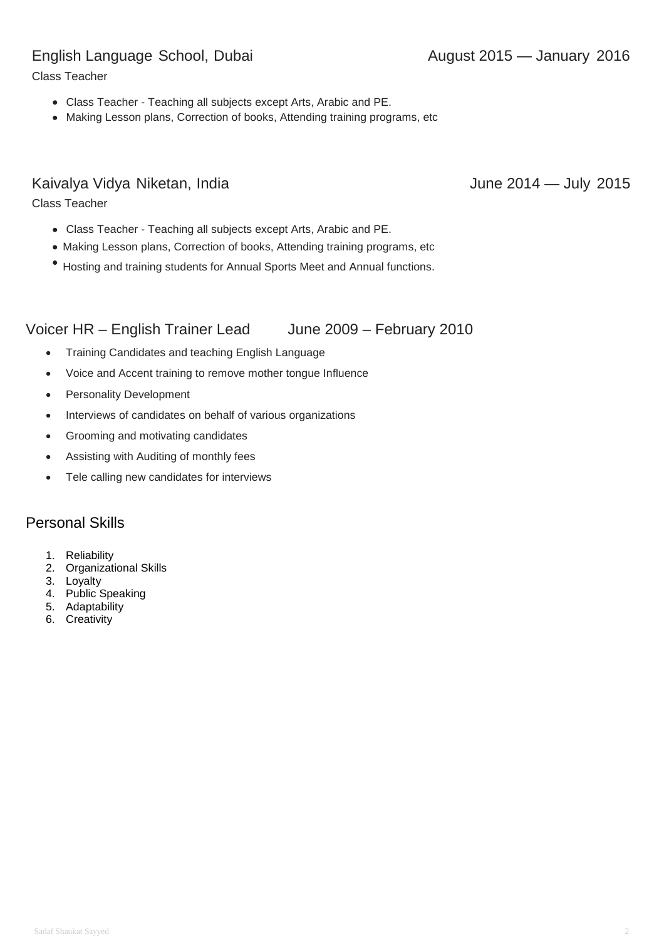#### English Language School, Dubai **August 2015** August 2015 — January 2016

Class Teacher

- Class Teacher Teaching all subjects except Arts, Arabic and PE.
- Making Lesson plans, Correction of books, Attending training programs, etc

#### Kaivalya Vidya Niketan, India **June 2014** June 2014 — July 2015

Class Teacher

- Class Teacher Teaching all subjects except Arts, Arabic and PE.
- Making Lesson plans, Correction of books, Attending training programs, etc
- Hosting and training students for Annual Sports Meet and Annual functions.

#### Voicer HR – English Trainer Lead June 2009 – February 2010

- Training Candidates and teaching English Language
- Voice and Accent training to remove mother tongue Influence
- Personality Development
- Interviews of candidates on behalf of various organizations
- Grooming and motivating candidates
- Assisting with Auditing of monthly fees
- Tele calling new candidates for interviews

#### Personal Skills

- 1. Reliability
- 2. Organizational Skills
- 3. Loyalty
- 4. Public Speaking
- 5. Adaptability
- 6. Creativity